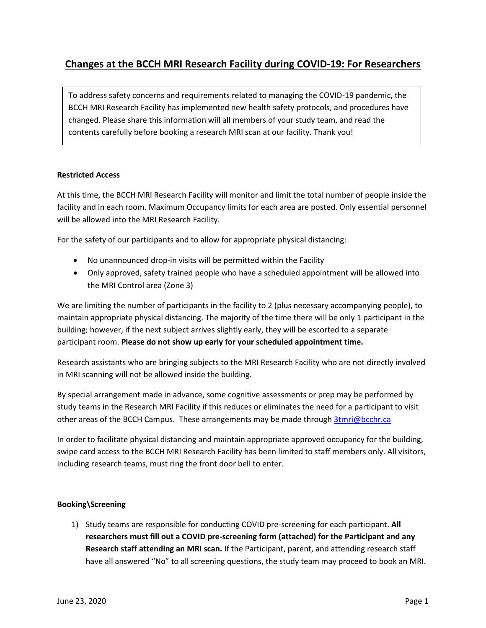# **Changes at the BCCH MRI Research Facility during COVID-19: For Researchers**

To address safety concerns and requirements related to managing the COVID-19 pandemic, the BCCH MRI Research Facility has implemented new health safety protocols, and procedures have changed. Please share this information will all members of your study team, and read the contents carefully before booking a research MRI scan at our facility. Thank you!

## **Restricted Access**

At this time, the BCCH MRI Research Facility will monitor and limit the total number of people inside the facility and in each room. Maximum Occupancy limits for each area are posted. Only essential personnel will be allowed into the MRI Research Facility.

For the safety of our participants and to allow for appropriate physical distancing:

- No unannounced drop-in visits will be permitted within the Facility
- Only approved, safety trained people who have a scheduled appointment will be allowed into the MRI Control area (Zone 3)

We are limiting the number of participants in the facility to 2 (plus necessary accompanying people), to maintain appropriate physical distancing. The majority of the time there will be only 1 participant in the building; however, if the next subject arrives slightly early, they will be escorted to a separate participant room. **Please do not show up early for your scheduled appointment time.**

Research assistants who are bringing subjects to the MRI Research Facility who are not directly involved in MRI scanning will not be allowed inside the building.

By special arrangement made in advance, some cognitive assessments or prep may be performed by study teams in the Research MRI Facility if this reduces or eliminates the need for a participant to visit other areas of the BCCH Campus. These arrangements may be made through [3tmri@bcchr.ca](mailto:3tmri@bcchr.ca)

In order to facilitate physical distancing and maintain appropriate approved occupancy for the building, swipe card access to the BCCH MRI Research Facility has been limited to staff members only. All visitors, including research teams, must ring the front door bell to enter.

## **Booking\Screening**

1) Study teams are responsible for conducting COVID pre-screening for each participant. **All researchers must fill out a COVID pre-screening form (attached) for the Participant and any Research staff attending an MRI scan.** If the Participant, parent, and attending research staff have all answered "No" to all screening questions, the study team may proceed to book an MRI.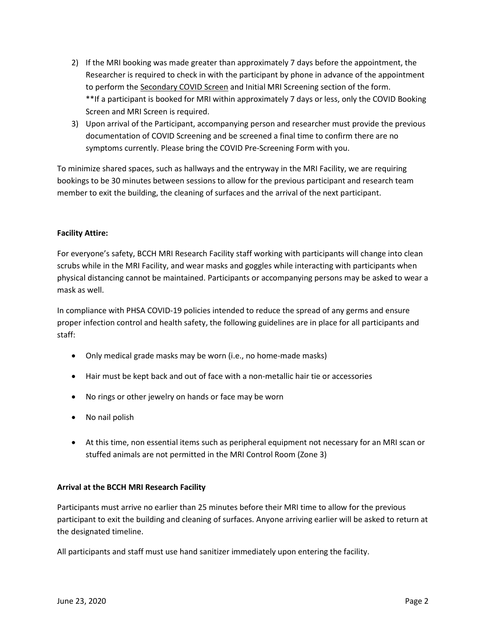- 2) If the MRI booking was made greater than approximately 7 days before the appointment, the Researcher is required to check in with the participant by phone in advance of the appointment to perform the Secondary COVID Screen and Initial MRI Screening section of the form. \*\*If a participant is booked for MRI within approximately 7 days or less, only the COVID Booking Screen and MRI Screen is required.
- 3) Upon arrival of the Participant, accompanying person and researcher must provide the previous documentation of COVID Screening and be screened a final time to confirm there are no symptoms currently. Please bring the COVID Pre-Screening Form with you.

To minimize shared spaces, such as hallways and the entryway in the MRI Facility, we are requiring bookings to be 30 minutes between sessions to allow for the previous participant and research team member to exit the building, the cleaning of surfaces and the arrival of the next participant.

## **Facility Attire:**

For everyone's safety, BCCH MRI Research Facility staff working with participants will change into clean scrubs while in the MRI Facility, and wear masks and goggles while interacting with participants when physical distancing cannot be maintained. Participants or accompanying persons may be asked to wear a mask as well.

In compliance with PHSA COVID-19 policies intended to reduce the spread of any germs and ensure proper infection control and health safety, the following guidelines are in place for all participants and staff:

- Only medical grade masks may be worn (i.e., no home-made masks)
- Hair must be kept back and out of face with a non-metallic hair tie or accessories
- No rings or other jewelry on hands or face may be worn
- No nail polish
- At this time, non essential items such as peripheral equipment not necessary for an MRI scan or stuffed animals are not permitted in the MRI Control Room (Zone 3)

#### **Arrival at the BCCH MRI Research Facility**

Participants must arrive no earlier than 25 minutes before their MRI time to allow for the previous participant to exit the building and cleaning of surfaces. Anyone arriving earlier will be asked to return at the designated timeline.

All participants and staff must use hand sanitizer immediately upon entering the facility.